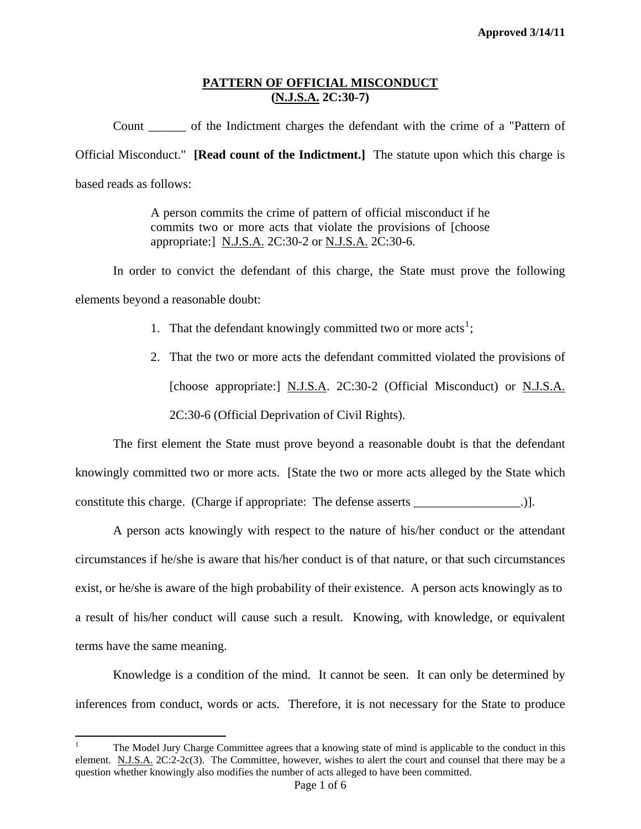Count \_\_\_\_\_\_ of the Indictment charges the defendant with the crime of a "Pattern of Official Misconduct." **[Read count of the Indictment.]** The statute upon which this charge is based reads as follows:

> A person commits the crime of pattern of official misconduct if he commits two or more acts that violate the provisions of [choose appropriate:] N.J.S.A. 2C:30-2 or N.J.S.A. 2C:30-6.

 In order to convict the defendant of this charge, the State must prove the following elements beyond a reasonable doubt:

- [1](#page-0-0). That the defendant knowingly committed two or more  $acts<sup>1</sup>$ ;
- 2. That the two or more acts the defendant committed violated the provisions of [choose appropriate:] N.J.S.A. 2C:30-2 (Official Misconduct) or N.J.S.A. 2C:30-6 (Official Deprivation of Civil Rights).

 The first element the State must prove beyond a reasonable doubt is that the defendant knowingly committed two or more acts. [State the two or more acts alleged by the State which constitute this charge. (Charge if appropriate: The defense asserts \_\_\_\_\_\_\_\_\_\_\_\_\_\_\_\_\_.)].

 A person acts knowingly with respect to the nature of his/her conduct or the attendant circumstances if he/she is aware that his/her conduct is of that nature, or that such circumstances exist, or he/she is aware of the high probability of their existence. A person acts knowingly as to a result of his/her conduct will cause such a result. Knowing, with knowledge, or equivalent terms have the same meaning.

 Knowledge is a condition of the mind. It cannot be seen. It can only be determined by inferences from conduct, words or acts. Therefore, it is not necessary for the State to produce

<u>.</u>

<span id="page-0-1"></span><span id="page-0-0"></span><sup>1</sup> The Model Jury Charge Committee agrees that a knowing state of mind is applicable to the conduct in this element. N.J.S.A. 2C:2-2c(3). The Committee, however, wishes to alert the court and counsel that there may be a question whether knowingly also modifies the number of acts alleged to have been committed.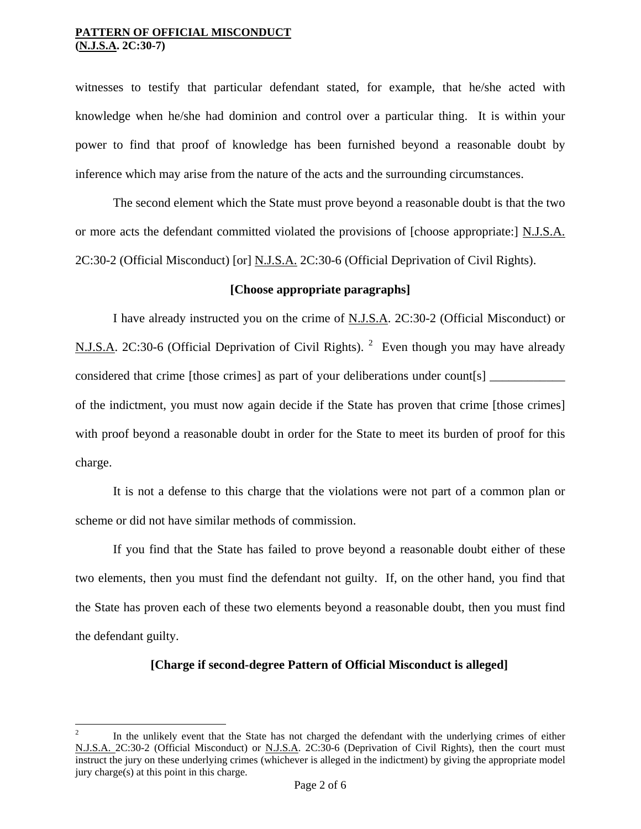1

witnesses to testify that particular defendant stated, for example, that he/she acted with knowledge when he/she had dominion and control over a particular thing. It is within your power to find that proof of knowledge has been furnished beyond a reasonable doubt by inference which may arise from the nature of the acts and the surrounding circumstances.

 The second element which the State must prove beyond a reasonable doubt is that the two or more acts the defendant committed violated the provisions of [choose appropriate:] N.J.S.A. 2C:30-2 (Official Misconduct) [or] N.J.S.A. 2C:30-6 (Official Deprivation of Civil Rights).

### **[Choose appropriate paragraphs]**

I have already instructed you on the crime of N.J.S.A. 2C:30-2 (Official Misconduct) or N.J.S.A. [2](#page-0-1)C:30-6 (Official Deprivation of Civil Rights). <sup>2</sup> Even though you may have already considered that crime [those crimes] as part of your deliberations under count[s] of the indictment, you must now again decide if the State has proven that crime [those crimes] with proof beyond a reasonable doubt in order for the State to meet its burden of proof for this charge.

 It is not a defense to this charge that the violations were not part of a common plan or scheme or did not have similar methods of commission.

 If you find that the State has failed to prove beyond a reasonable doubt either of these two elements, then you must find the defendant not guilty. If, on the other hand, you find that the State has proven each of these two elements beyond a reasonable doubt, then you must find the defendant guilty.

### **[Charge if second-degree Pattern of Official Misconduct is alleged]**

<span id="page-1-0"></span><sup>2</sup> In the unlikely event that the State has not charged the defendant with the underlying crimes of either N.J.S.A. 2C:30-2 (Official Misconduct) or N.J.S.A. 2C:30-6 (Deprivation of Civil Rights), then the court must instruct the jury on these underlying crimes (whichever is alleged in the indictment) by giving the appropriate model jury charge(s) at this point in this charge.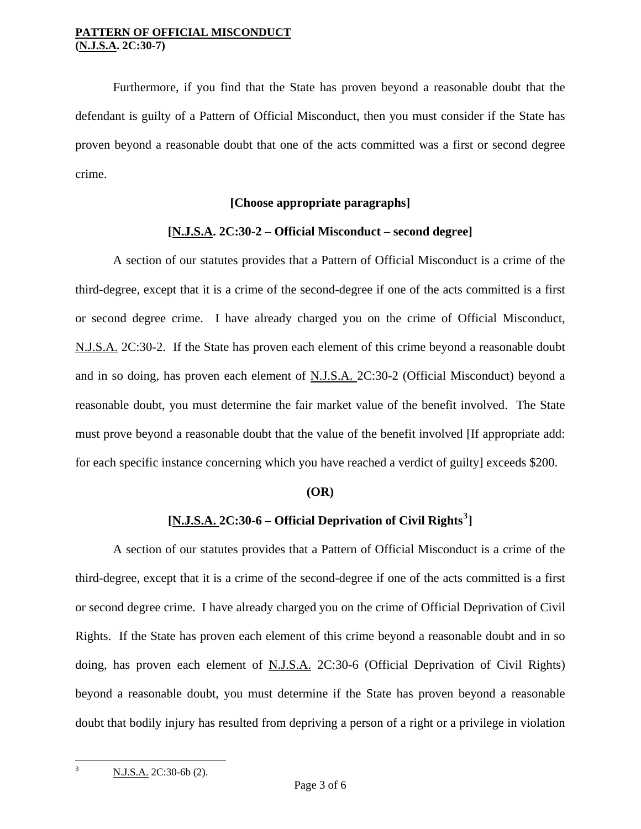Furthermore, if you find that the State has proven beyond a reasonable doubt that the defendant is guilty of a Pattern of Official Misconduct, then you must consider if the State has proven beyond a reasonable doubt that one of the acts committed was a first or second degree crime.

### **[Choose appropriate paragraphs]**

### **[N.J.S.A. 2C:30-2 – Official Misconduct – second degree]**

 A section of our statutes provides that a Pattern of Official Misconduct is a crime of the third-degree, except that it is a crime of the second-degree if one of the acts committed is a first or second degree crime. I have already charged you on the crime of Official Misconduct, N.J.S.A. 2C:30-2. If the State has proven each element of this crime beyond a reasonable doubt and in so doing, has proven each element of N.J.S.A. 2C:30-2 (Official Misconduct) beyond a reasonable doubt, you must determine the fair market value of the benefit involved. The State must prove beyond a reasonable doubt that the value of the benefit involved [If appropriate add: for each specific instance concerning which you have reached a verdict of guilty] exceeds \$200.

### **(OR)**

# **[N.J.S.A. 2C:30-6 – Official Deprivation of Civil Rights[3](#page-1-0) ]**

A section of our statutes provides that a Pattern of Official Misconduct is a crime of the third-degree, except that it is a crime of the second-degree if one of the acts committed is a first or second degree crime. I have already charged you on the crime of Official Deprivation of Civil Rights. If the State has proven each element of this crime beyond a reasonable doubt and in so doing, has proven each element of N.J.S.A. 2C:30-6 (Official Deprivation of Civil Rights) beyond a reasonable doubt, you must determine if the State has proven beyond a reasonable doubt that bodily injury has resulted from depriving a person of a right or a privilege in violation

N.J.S.A. 2C:30-6b (2).

<span id="page-2-0"></span>1 3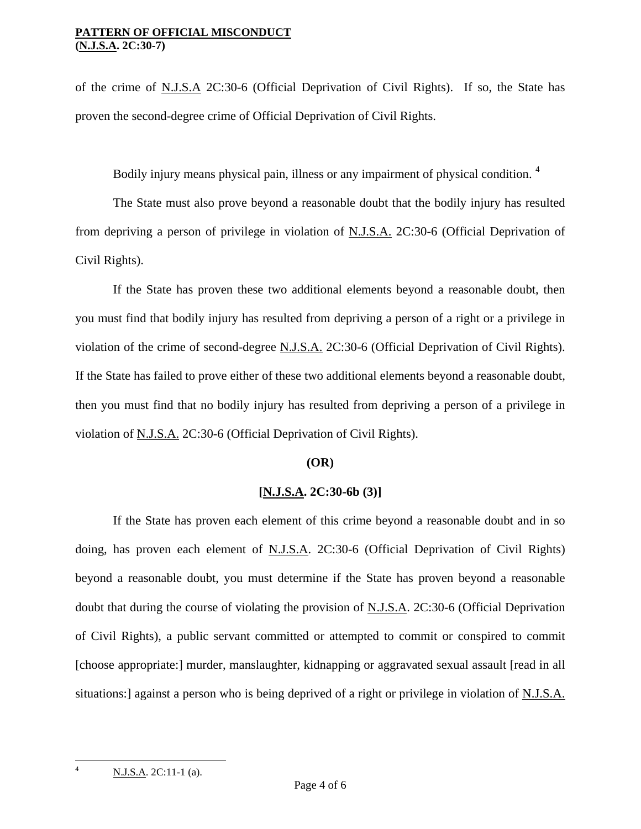of the crime of N.J.S.A 2C:30-6 (Official Deprivation of Civil Rights). If so, the State has proven the second-degree crime of Official Deprivation of Civil Rights.

Bodily injury means physical pain, illness or any impairment of physical condition.<sup>[4](#page-2-0)</sup>

 The State must also prove beyond a reasonable doubt that the bodily injury has resulted from depriving a person of privilege in violation of N.J.S.A. 2C:30-6 (Official Deprivation of Civil Rights).

 If the State has proven these two additional elements beyond a reasonable doubt, then you must find that bodily injury has resulted from depriving a person of a right or a privilege in violation of the crime of second-degree N.J.S.A. 2C:30-6 (Official Deprivation of Civil Rights). If the State has failed to prove either of these two additional elements beyond a reasonable doubt, then you must find that no bodily injury has resulted from depriving a person of a privilege in violation of N.J.S.A. 2C:30-6 (Official Deprivation of Civil Rights).

### **(OR)**

## **[N.J.S.A. 2C:30-6b (3)]**

 If the State has proven each element of this crime beyond a reasonable doubt and in so doing, has proven each element of N.J.S.A. 2C:30-6 (Official Deprivation of Civil Rights) beyond a reasonable doubt, you must determine if the State has proven beyond a reasonable doubt that during the course of violating the provision of N.J.S.A. 2C:30-6 (Official Deprivation of Civil Rights), a public servant committed or attempted to commit or conspired to commit [choose appropriate:] murder, manslaughter, kidnapping or aggravated sexual assault [read in all situations:] against a person who is being deprived of a right or privilege in violation of N.J.S.A.

<span id="page-3-0"></span>1 4

N.J.S.A. 2C:11-1 (a).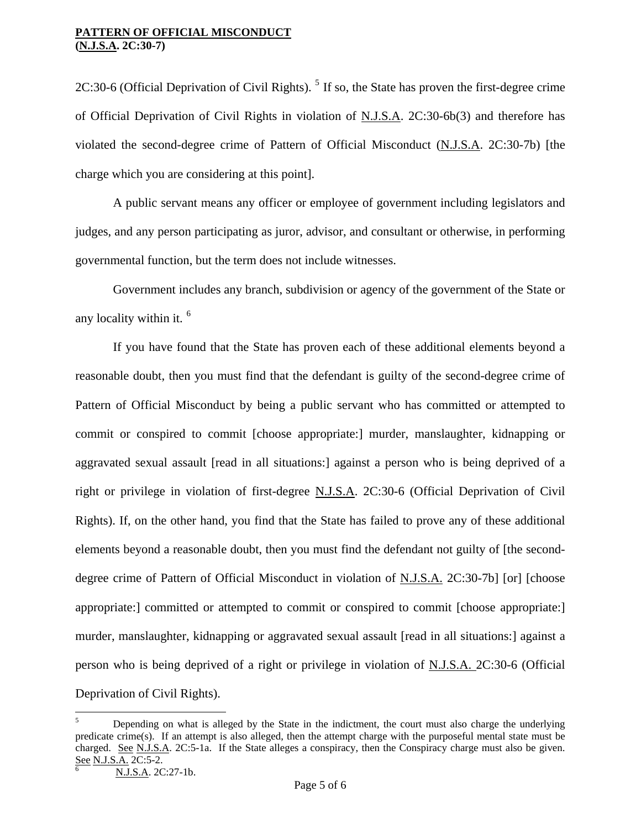2C:30-6 (Official Deprivation of Civil Rights).  $<sup>5</sup>$  $<sup>5</sup>$  $<sup>5</sup>$  If so, the State has proven the first-degree crime</sup> of Official Deprivation of Civil Rights in violation of N.J.S.A. 2C:30-6b(3) and therefore has violated the second-degree crime of Pattern of Official Misconduct (N.J.S.A. 2C:30-7b) [the charge which you are considering at this point].

 A public servant means any officer or employee of government including legislators and judges, and any person participating as juror, advisor, and consultant or otherwise, in performing governmental function, but the term does not include witnesses.

 Government includes any branch, subdivision or agency of the government of the State or any locality within it. [6](#page-4-0)

 If you have found that the State has proven each of these additional elements beyond a reasonable doubt, then you must find that the defendant is guilty of the second-degree crime of Pattern of Official Misconduct by being a public servant who has committed or attempted to commit or conspired to commit [choose appropriate:] murder, manslaughter, kidnapping or aggravated sexual assault [read in all situations:] against a person who is being deprived of a right or privilege in violation of first-degree N.J.S.A. 2C:30-6 (Official Deprivation of Civil Rights). If, on the other hand, you find that the State has failed to prove any of these additional elements beyond a reasonable doubt, then you must find the defendant not guilty of [the seconddegree crime of Pattern of Official Misconduct in violation of N.J.S.A. 2C:30-7b] [or] [choose appropriate: committed or attempted to commit or conspired to commit [choose appropriate:] murder, manslaughter, kidnapping or aggravated sexual assault [read in all situations:] against a person who is being deprived of a right or privilege in violation of N.J.S.A. 2C:30-6 (Official Deprivation of Civil Rights).

 $\overline{a}$ 

<span id="page-4-0"></span><sup>5</sup> Depending on what is alleged by the State in the indictment, the court must also charge the underlying predicate crime(s). If an attempt is also alleged, then the attempt charge with the purposeful mental state must be charged. See N.J.S.A. 2C:5-1a. If the State alleges a conspiracy, then the Conspiracy charge must also be given. See N.J.S.A. 2C:5-2.

N.J.S.A. 2C:27-1b.